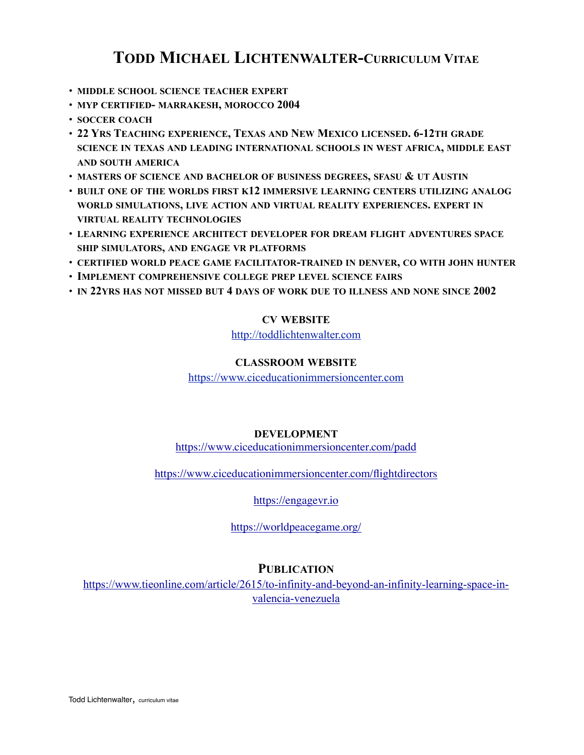# **TODD MICHAEL LICHTENWALTER-CURRICULUM VITAE**

- **MIDDLE SCHOOL SCIENCE TEACHER EXPERT**
- **MYP CERTIFIED- MARRAKESH, MOROCCO 2004**
- **SOCCER COACH**
- **22 YRS TEACHING EXPERIENCE, TEXAS AND NEW MEXICO LICENSED. 6-12TH GRADE SCIENCE IN TEXAS AND LEADING INTERNATIONAL SCHOOLS IN WEST AFRICA, MIDDLE EAST AND SOUTH AMERICA**
- **MASTERS OF SCIENCE AND BACHELOR OF BUSINESS DEGREES, SFASU & UT AUSTIN**
- **BUILT ONE OF THE WORLDS FIRST K12 IMMERSIVE LEARNING CENTERS UTILIZING ANALOG WORLD SIMULATIONS, LIVE ACTION AND VIRTUAL REALITY EXPERIENCES. EXPERT IN VIRTUAL REALITY TECHNOLOGIES**
- **LEARNING EXPERIENCE ARCHITECT DEVELOPER FOR DREAM FLIGHT ADVENTURES SPACE SHIP SIMULATORS, AND ENGAGE VR PLATFORMS**
- **CERTIFIED WORLD PEACE GAME FACILITATOR-TRAINED IN DENVER, CO WITH JOHN HUNTER**
- **IMPLEMENT COMPREHENSIVE COLLEGE PREP LEVEL SCIENCE FAIRS**
- **IN 22YRS HAS NOT MISSED BUT 4 DAYS OF WORK DUE TO ILLNESS AND NONE SINCE 2002**

### **CV WEBSITE**

<http://toddlichtenwalter.com>

#### **CLASSROOM WEBSITE**

<https://www.ciceducationimmersioncenter.com>

### **DEVELOPMENT**

<https://www.ciceducationimmersioncenter.com/padd>

<https://www.ciceducationimmersioncenter.com/flightdirectors>

<https://engagevr.io>

<https://worldpeacegame.org/>

### **PUBLICATION**

[https://www.tieonline.com/article/2615/to-infinity-and-beyond-an-infinity-learning-space-in](https://www.tieonline.com/article/2615/to-infinity-and-beyond-an-infinity-learning-space-in-valencia-venezuela)[valencia-venezuela](https://www.tieonline.com/article/2615/to-infinity-and-beyond-an-infinity-learning-space-in-valencia-venezuela)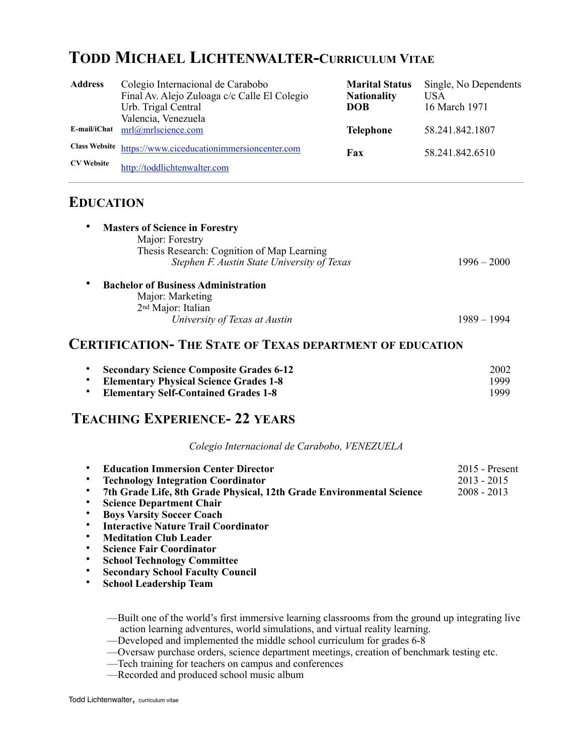# **TODD MICHAEL LICHTENWALTER-CURRICULUM VITAE**

| <b>Address</b>                            | Colegio Internacional de Carabobo<br>Final Av. Alejo Zuloaga c/c Calle El Colegio<br>Urb. Trigal Central<br>Valencia, Venezuela | <b>Marital Status</b><br><b>Nationality</b><br><b>DOB</b> | Single, No Dependents<br><b>USA</b><br>16 March 1971 |
|-------------------------------------------|---------------------------------------------------------------------------------------------------------------------------------|-----------------------------------------------------------|------------------------------------------------------|
| E-mail/iChat                              | mrl@mrlscience.com                                                                                                              | <b>Telephone</b>                                          | 58.241.842.1807                                      |
| <b>Class Website</b><br><b>CV</b> Website | https://www.ciceducationimmersioncenter.com<br>http://toddlichtenwalter.com                                                     | Fax                                                       | 58.241.842.6510                                      |

### **EDUCATION**

| <b>Masters of Science in Forestry</b><br>Major: Forestry |               |
|----------------------------------------------------------|---------------|
| Thesis Research: Cognition of Map Learning               |               |
| Stephen F. Austin State University of Texas              | $1996 - 2000$ |
| <b>Bachelor of Business Administration</b>               |               |
| Major: Marketing                                         |               |
| 2 <sup>nd</sup> Major: Italian                           |               |
| University of Texas at Austin                            | 1989 – 1994   |
|                                                          |               |

### **CERTIFICATION- THE STATE OF TEXAS DEPARTMENT OF EDUCATION**

| • Secondary Science Composite Grades 6-12     | 2002  |
|-----------------------------------------------|-------|
| <b>Elementary Physical Science Grades 1-8</b> | 1999. |
| <b>Elementary Self-Contained Grades 1-8</b>   | 1999. |

# **TEACHING EXPERIENCE- 22 YEARS**

*Colegio Internacional de Carabobo, VENEZUELA*

| <b>Education Immersion Center Director</b>                           | $2015$ - Present |
|----------------------------------------------------------------------|------------------|
| <b>Technology Integration Coordinator</b>                            | $2013 - 2015$    |
| 7th Grade Life, 8th Grade Physical, 12th Grade Environmental Science | $2008 - 2013$    |

- **Science Department Chair**
- **Boys Varsity Soccer Coach**
- **Interactive Nature Trail Coordinator**
- **Meditation Club Leader**
- **Science Fair Coordinator**
- **School Technology Committee**
- **Secondary School Faculty Council**
- **School Leadership Team**

—Built one of the world's first immersive learning classrooms from the ground up integrating live action learning adventures, world simulations, and virtual reality learning.

—Developed and implemented the middle school curriculum for grades 6-8

—Oversaw purchase orders, science department meetings, creation of benchmark testing etc.

- —Tech training for teachers on campus and conferences
- —Recorded and produced school music album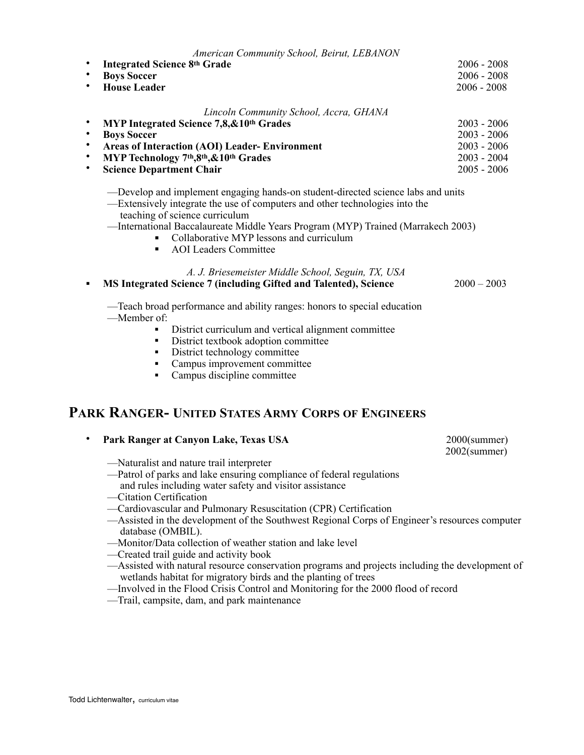|           | American Community School, Beirut, LEBANON            |               |  |  |
|-----------|-------------------------------------------------------|---------------|--|--|
| ٠         | <b>Integrated Science 8th Grade</b>                   | $2006 - 2008$ |  |  |
| ٠         | <b>Boys Soccer</b>                                    | $2006 - 2008$ |  |  |
| $\bullet$ | <b>House Leader</b>                                   | $2006 - 2008$ |  |  |
|           | Lincoln Community School, Accra, GHANA                |               |  |  |
|           | MYP Integrated Science 7,8, & 10th Grades             | $2003 - 2006$ |  |  |
| $\bullet$ | <b>Boys Soccer</b>                                    | $2003 - 2006$ |  |  |
| ٠         | <b>Areas of Interaction (AOI) Leader- Environment</b> | $2003 - 2006$ |  |  |
| ٠         | MYP Technology 7th, 8th, & 10th Grades                | $2003 - 2004$ |  |  |
| ٠         | <b>Science Department Chair</b>                       | $2005 - 2006$ |  |  |
|           |                                                       |               |  |  |

- —Develop and implement engaging hands-on student-directed science labs and units
- —Extensively integrate the use of computers and other technologies into the teaching of science curriculum
- —International Baccalaureate Middle Years Program (MYP) Trained (Marrakech 2003)
	- Collaborative MYP lessons and curriculum
	- AOI Leaders Committee

#### *A. J. Briesemeister Middle School, Seguin, TX, USA*

! **MS Integrated Science 7 (including Gifted and Talented), Science** 2000 – 2003

—Teach broad performance and ability ranges: honors to special education —Member of:

- ! District curriculum and vertical alignment committee
- ! District textbook adoption committee
- District technology committee
- ! Campus improvement committee
- Campus discipline committee

### **PARK RANGER- UNITED STATES ARMY CORPS OF ENGINEERS**

#### • **Park Ranger at Canyon Lake, Texas USA** 2000(summer)

2002(summer)

- —Naturalist and nature trail interpreter
- —Patrol of parks and lake ensuring compliance of federal regulations
- and rules including water safety and visitor assistance
- —Citation Certification
- —Cardiovascular and Pulmonary Resuscitation (CPR) Certification
- —Assisted in the development of the Southwest Regional Corps of Engineer's resources computer database (OMBIL).
- —Monitor/Data collection of weather station and lake level
- —Created trail guide and activity book
- —Assisted with natural resource conservation programs and projects including the development of wetlands habitat for migratory birds and the planting of trees
- —Involved in the Flood Crisis Control and Monitoring for the 2000 flood of record
- —Trail, campsite, dam, and park maintenance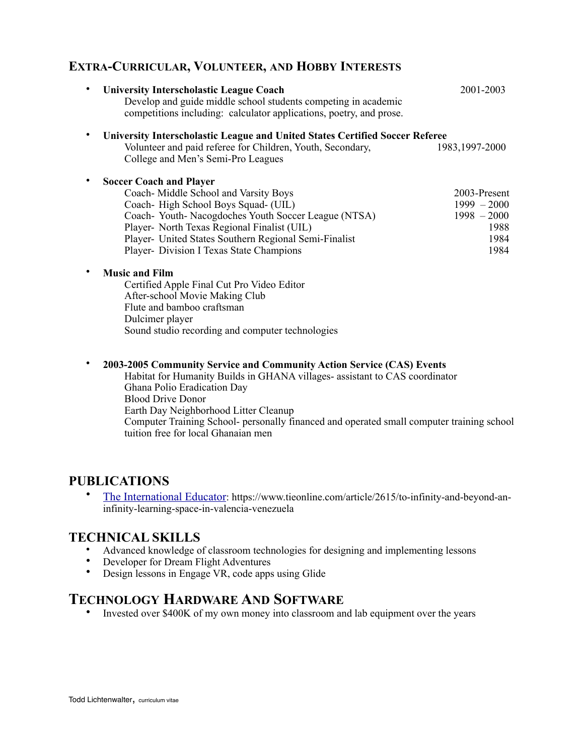### **EXTRA-CURRICULAR, VOLUNTEER, AND HOBBY INTERESTS**

| $\bullet$ | <b>University Interscholastic League Coach</b><br>Develop and guide middle school students competing in academic<br>competitions including: calculator applications, poetry, and prose.                                                                                                                                 | 2001-2003                                                              |
|-----------|-------------------------------------------------------------------------------------------------------------------------------------------------------------------------------------------------------------------------------------------------------------------------------------------------------------------------|------------------------------------------------------------------------|
| $\bullet$ | <b>University Interscholastic League and United States Certified Soccer Referee</b><br>Volunteer and paid referee for Children, Youth, Secondary,<br>College and Men's Semi-Pro Leagues                                                                                                                                 | 1983, 1997-2000                                                        |
| ٠         | <b>Soccer Coach and Player</b><br>Coach-Middle School and Varsity Boys<br>Coach-High School Boys Squad- (UIL)<br>Coach-Youth-Nacogdoches Youth Soccer League (NTSA)<br>Player- North Texas Regional Finalist (UIL)<br>Player- United States Southern Regional Semi-Finalist<br>Player- Division I Texas State Champions | 2003-Present<br>$1999 - 2000$<br>$1998 - 2000$<br>1988<br>1984<br>1984 |
| ٠<br>٠    | <b>Music and Film</b><br>Certified Apple Final Cut Pro Video Editor<br>After-school Movie Making Club<br>Flute and bamboo craftsman<br>Dulcimer player<br>Sound studio recording and computer technologies<br>2003-2005 Community Service and Community Action Service (CAS) Events                                     |                                                                        |

Habitat for Humanity Builds in GHANA villages- assistant to CAS coordinator Ghana Polio Eradication Day Blood Drive Donor Earth Day Neighborhood Litter Cleanup Computer Training School- personally financed and operated small computer training school tuition free for local Ghanaian men

### **PUBLICATIONS**

• [The International Educator](https://www.tieonline.com/article/2615/to-infinity-and-beyond-an-infinity-learning-space-in-valencia-venezuela): https://www.tieonline.com/article/2615/to-infinity-and-beyond-aninfinity-learning-space-in-valencia-venezuela

### **TECHNICAL SKILLS**

- Advanced knowledge of classroom technologies for designing and implementing lessons
- Developer for Dream Flight Adventures
- Design lessons in Engage VR, code apps using Glide

# **TECHNOLOGY HARDWARE AND SOFTWARE**

• Invested over \$400K of my own money into classroom and lab equipment over the years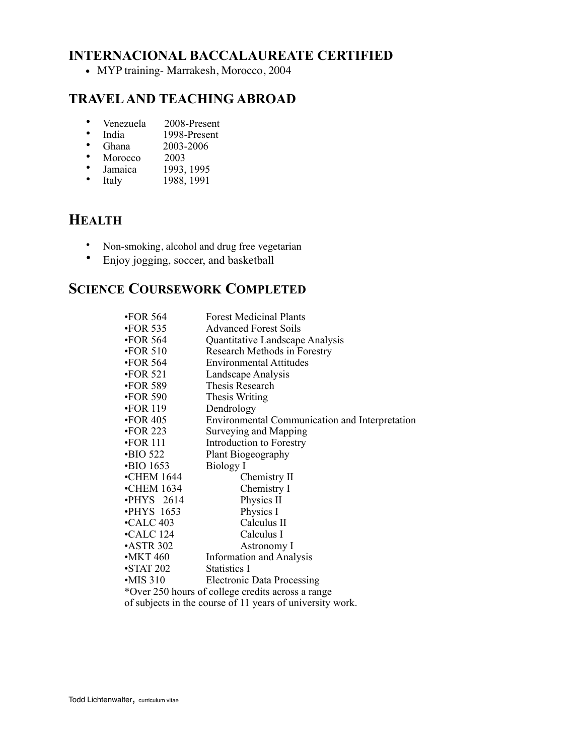# **INTERNACIONAL BACCALAUREATE CERTIFIED**

• MYP training- Marrakesh, Morocco, 2004

## **TRAVEL AND TEACHING ABROAD**

- Venezuela 2008-Present<br>• India 1008 Present
- India  $1998$ -Present<br>• Ghana  $2003-2006$
- Ghana 2003-2006<br>Morocco 2003
- Morocco
- Jamaica 1993, 1995
- Italy 1988, 1991

# **HEALTH**

- Non-smoking, alcohol and drug free vegetarian<br>• Fraiov jogging soccer and basketball
- Enjoy jogging, soccer, and basketball

# **SCIENCE COURSEWORK COMPLETED**

| $\cdot$ FOR 564                                           | <b>Forest Medicinal Plants</b>                    |  |  |
|-----------------------------------------------------------|---------------------------------------------------|--|--|
| $\cdot$ FOR 535                                           | <b>Advanced Forest Soils</b>                      |  |  |
| $\cdot$ FOR 564                                           | Quantitative Landscape Analysis                   |  |  |
| $\cdot$ FOR 510                                           | Research Methods in Forestry                      |  |  |
| $\cdot$ FOR 564                                           | <b>Environmental Attitudes</b>                    |  |  |
| $\cdot$ FOR 521                                           | Landscape Analysis                                |  |  |
| $\cdot$ FOR 589                                           | Thesis Research                                   |  |  |
| $\cdot$ FOR 590                                           | Thesis Writing                                    |  |  |
| $\cdot$ FOR 119                                           | Dendrology                                        |  |  |
| $\cdot$ FOR 405                                           | Environmental Communication and Interpretation    |  |  |
| $\cdot$ FOR 223                                           | Surveying and Mapping                             |  |  |
| $\cdot$ FOR 111                                           | Introduction to Forestry                          |  |  |
| $\cdot$ BIO 522                                           | Plant Biogeography                                |  |  |
| <b>BIO 1653</b>                                           | Biology I                                         |  |  |
| $\cdot$ CHEM 1644                                         | Chemistry II                                      |  |  |
| $\cdot$ CHEM 1634                                         | Chemistry I                                       |  |  |
| $\cdot$ PHYS 2614                                         | Physics II                                        |  |  |
| $\cdot$ PHYS 1653                                         | Physics I                                         |  |  |
| $\cdot$ CALC 403                                          | Calculus II                                       |  |  |
| $\cdot$ CALC 124                                          | Calculus I                                        |  |  |
| $\cdot$ ASTR 302                                          | Astronomy I                                       |  |  |
| $\cdot$ MKT 460                                           | <b>Information and Analysis</b>                   |  |  |
| $\cdot$ STAT 202                                          | Statistics I                                      |  |  |
| $\cdot$ MIS 310                                           | <b>Electronic Data Processing</b>                 |  |  |
|                                                           | *Over 250 hours of college credits across a range |  |  |
| of subjects in the course of 11 years of university work. |                                                   |  |  |
|                                                           |                                                   |  |  |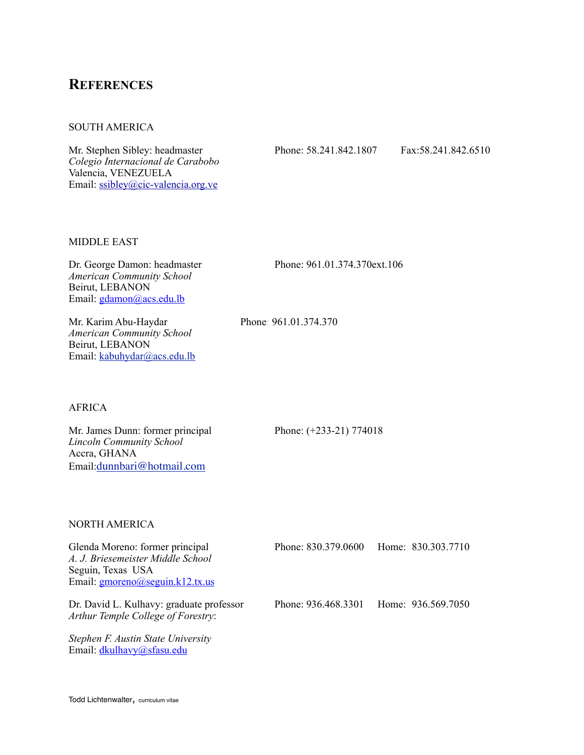### **REFERENCES**

#### SOUTH AMERICA

Mr. Stephen Sibley: headmaster Phone: 58.241.842.1807 Fax:58.241.842.6510 *Colegio Internacional de Carabobo* Valencia, VENEZUELA Email: [ssibley@cic-valencia.org.ve](mailto:no_reply@apple.com)

#### MIDDLE EAST

Dr. George Damon: headmaster Phone: 961.01.374.370ext.106 *American Community School* Beirut, LEBANON Email: [gdamon@acs.edu.lb](mailto:gdamon@acs.edu.lb)

Mr. Karim Abu-Haydar Phone: 961.01.374.370 *American Community School* Beirut, LEBANON Email: [kabuhydar@acs.edu.lb](mailto:kabuhydar@acs.edu.lb)

#### AFRICA

Mr. James Dunn: former principal Phone: (+233-21) 774018 *Lincoln Community School* Accra, GHANA Email:[dunnbari@hotmail.com](mailto:dunnbari@hotmail.com)

#### NORTH AMERICA

| Glenda Moreno: former principal<br>A. J. Briesemeister Middle School<br>Seguin, Texas USA<br>Email: $gmoreno(a)$ seguin.k12.tx.us | Phone: 830.379.0600 | Home: 830.303.7710 |
|-----------------------------------------------------------------------------------------------------------------------------------|---------------------|--------------------|
| Dr. David L. Kulhavy: graduate professor<br>Arthur Temple College of Forestry:                                                    | Phone: 936.468.3301 | Home: 936.569.7050 |
| Stephen F. Austin State University<br>Email: dkulhavy@sfasu.edu                                                                   |                     |                    |